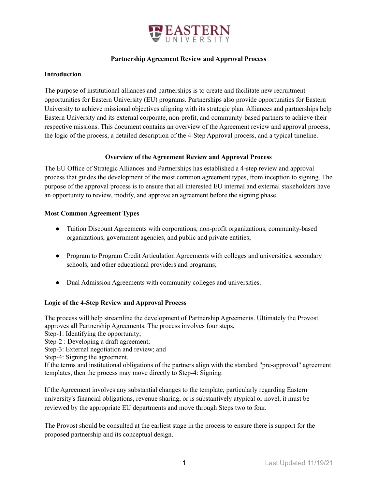

### **Partnership Agreement Review and Approval Process**

#### **Introduction**

The purpose of institutional alliances and partnerships is to create and facilitate new recruitment opportunities for Eastern University (EU) programs. Partnerships also provide opportunities for Eastern University to achieve missional objectives aligning with its strategic plan. Alliances and partnerships help Eastern University and its external corporate, non-profit, and community-based partners to achieve their respective missions. This document contains an overview of the Agreement review and approval process, the logic of the process, a detailed description of the 4-Step Approval process, and a typical timeline.

### **Overview of the Agreement Review and Approval Process**

The EU Office of Strategic Alliances and Partnerships has established a 4-step review and approval process that guides the development of the most common agreement types, from inception to signing. The purpose of the approval process is to ensure that all interested EU internal and external stakeholders have an opportunity to review, modify, and approve an agreement before the signing phase.

### **Most Common Agreement Types**

- Tuition Discount Agreements with corporations, non-profit organizations, community-based organizations, government agencies, and public and private entities;
- Program to Program Credit Articulation Agreements with colleges and universities, secondary schools, and other educational providers and programs;
- Dual Admission Agreements with community colleges and universities.

### **Logic of the 4-Step Review and Approval Process**

The process will help streamline the development of Partnership Agreements. Ultimately the Provost approves all Partnership Agreements. The process involves four steps,

Step-1: Identifying the opportunity;

Step-2 : Developing a draft agreement;

Step-3: External negotiation and review; and

Step-4: Signing the agreement.

If the terms and institutional obligations of the partners align with the standard "pre-approved" agreement templates, then the process may move directly to Step-4: Signing.

If the Agreement involves any substantial changes to the template, particularly regarding Eastern university's financial obligations, revenue sharing, or is substantively atypical or novel, it must be reviewed by the appropriate EU departments and move through Steps two to four.

The Provost should be consulted at the earliest stage in the process to ensure there is support for the proposed partnership and its conceptual design.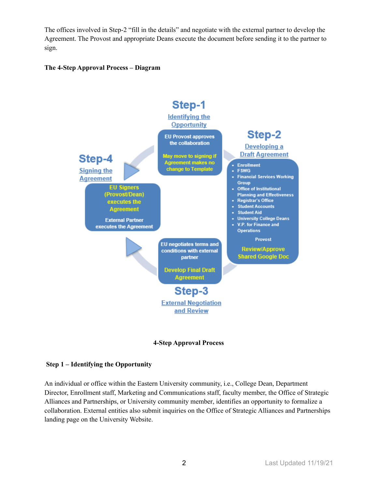The offices involved in Step-2 "fill in the details" and negotiate with the external partner to develop the Agreement. The Provost and appropriate Deans execute the document before sending it to the partner to sign.

## **The 4-Step Approval Process – Diagram**





### **Step 1 – Identifying the Opportunity**

An individual or office within the Eastern University community, i.e., College Dean, Department Director, Enrollment staff, Marketing and Communications staff, faculty member, the Office of Strategic Alliances and Partnerships, or University community member, identifies an opportunity to formalize a collaboration. External entities also submit inquiries on the Office of Strategic Alliances and Partnerships landing page on the University Website.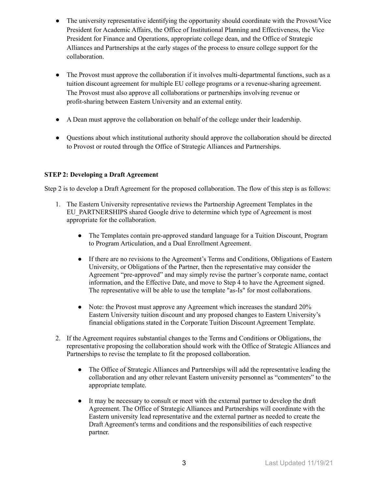- The university representative identifying the opportunity should coordinate with the Provost/Vice President for Academic Affairs, the Office of Institutional Planning and Effectiveness, the Vice President for Finance and Operations, appropriate college dean, and the Office of Strategic Alliances and Partnerships at the early stages of the process to ensure college support for the collaboration.
- The Provost must approve the collaboration if it involves multi-departmental functions, such as a tuition discount agreement for multiple EU college programs or a revenue-sharing agreement. The Provost must also approve all collaborations or partnerships involving revenue or profit-sharing between Eastern University and an external entity.
- A Dean must approve the collaboration on behalf of the college under their leadership.
- Questions about which institutional authority should approve the collaboration should be directed to Provost or routed through the Office of Strategic Alliances and Partnerships.

## **STEP 2: Developing a Draft Agreement**

Step 2 is to develop a Draft Agreement for the proposed collaboration. The flow of this step is as follows:

- 1. The Eastern University representative reviews the Partnership Agreement Templates in the EU\_PARTNERSHIPS shared Google drive to determine which type of Agreement is most appropriate for the collaboration.
	- The Templates contain pre-approved standard language for a Tuition Discount, Program to Program Articulation, and a Dual Enrollment Agreement.
	- If there are no revisions to the Agreement's Terms and Conditions, Obligations of Eastern University, or Obligations of the Partner, then the representative may consider the Agreement "pre-approved" and may simply revise the partner's corporate name, contact information, and the Effective Date, and move to Step 4 to have the Agreement signed. The representative will be able to use the template "as-Is" for most collaborations.
	- Note: the Provost must approve any Agreement which increases the standard 20% Eastern University tuition discount and any proposed changes to Eastern University's financial obligations stated in the Corporate Tuition Discount Agreement Template.
- 2. If the Agreement requires substantial changes to the Terms and Conditions or Obligations, the representative proposing the collaboration should work with the Office of Strategic Alliances and Partnerships to revise the template to fit the proposed collaboration.
	- The Office of Strategic Alliances and Partnerships will add the representative leading the collaboration and any other relevant Eastern university personnel as "commenters" to the appropriate template.
	- It may be necessary to consult or meet with the external partner to develop the draft Agreement. The Office of Strategic Alliances and Partnerships will coordinate with the Eastern university lead representative and the external partner as needed to create the Draft Agreement's terms and conditions and the responsibilities of each respective partner.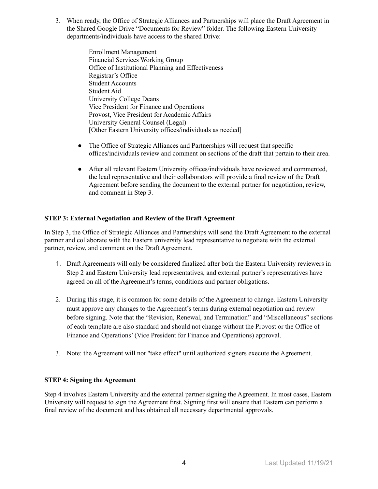3. When ready, the Office of Strategic Alliances and Partnerships will place the Draft Agreement in the Shared Google Drive "Documents for Review" folder. The following Eastern University departments/individuals have access to the shared Drive:

> Enrollment Management Financial Services Working Group Office of Institutional Planning and Effectiveness Registrar's Office Student Accounts Student Aid University College Deans Vice President for Finance and Operations Provost, Vice President for Academic Affairs University General Counsel (Legal) [Other Eastern University offices/individuals as needed]

- The Office of Strategic Alliances and Partnerships will request that specific offices/individuals review and comment on sections of the draft that pertain to their area.
- After all relevant Eastern University offices/individuals have reviewed and commented, the lead representative and their collaborators will provide a final review of the Draft Agreement before sending the document to the external partner for negotiation, review, and comment in Step 3.

### **STEP 3: External Negotiation and Review of the Draft Agreement**

In Step 3, the Office of Strategic Alliances and Partnerships will send the Draft Agreement to the external partner and collaborate with the Eastern university lead representative to negotiate with the external partner, review, and comment on the Draft Agreement.

- 1. Draft Agreements will only be considered finalized after both the Eastern University reviewers in Step 2 and Eastern University lead representatives, and external partner's representatives have agreed on all of the Agreement's terms, conditions and partner obligations.
- 2. During this stage, it is common for some details of the Agreement to change. Eastern University must approve any changes to the Agreement's terms during external negotiation and review before signing. Note that the "Revision, Renewal, and Termination" and "Miscellaneous" sections of each template are also standard and should not change without the Provost or the Office of Finance and Operations' (Vice President for Finance and Operations) approval.
- 3. Note: the Agreement will not "take effect" until authorized signers execute the Agreement.

### **STEP 4: Signing the Agreement**

Step 4 involves Eastern University and the external partner signing the Agreement. In most cases, Eastern University will request to sign the Agreement first. Signing first will ensure that Eastern can perform a final review of the document and has obtained all necessary departmental approvals.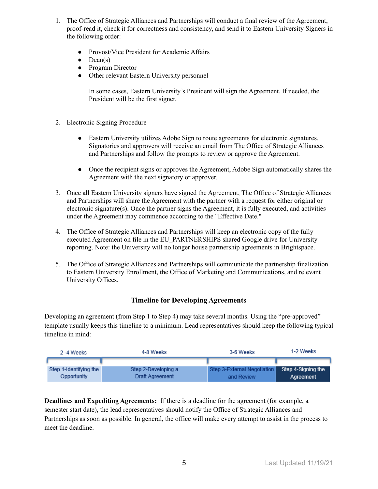- 1. The Office of Strategic Alliances and Partnerships will conduct a final review of the Agreement, proof-read it, check it for correctness and consistency, and send it to Eastern University Signers in the following order:
	- Provost/Vice President for Academic Affairs
	- $\bullet$  Dean(s)
	- Program Director
	- Other relevant Eastern University personnel

In some cases, Eastern University's President will sign the Agreement. If needed, the President will be the first signer.

- 2. Electronic Signing Procedure
	- Eastern University utilizes Adobe Sign to route agreements for electronic signatures. Signatories and approvers will receive an email from The Office of Strategic Alliances and Partnerships and follow the prompts to review or approve the Agreement.
	- Once the recipient signs or approves the Agreement, Adobe Sign automatically shares the Agreement with the next signatory or approver.
- 3. Once all Eastern University signers have signed the Agreement, The Office of Strategic Alliances and Partnerships will share the Agreement with the partner with a request for either original or electronic signature(s). Once the partner signs the Agreement, it is fully executed, and activities under the Agreement may commence according to the "Effective Date."
- 4. The Office of Strategic Alliances and Partnerships will keep an electronic copy of the fully executed Agreement on file in the EU\_PARTNERSHIPS shared Google drive for University reporting. Note: the University will no longer house partnership agreements in Brightspace.
- 5. The Office of Strategic Alliances and Partnerships will communicate the partnership finalization to Eastern University Enrollment, the Office of Marketing and Communications, and relevant University Offices.

## **Timeline for Developing Agreements**

Developing an agreement (from Step 1 to Step 4) may take several months. Using the "pre-approved" template usually keeps this timeline to a minimum. Lead representatives should keep the following typical timeline in mind:

| 2-4 Weeks              | 4-8 Weeks           | 3-6 Weeks                                      | 1-2 Weeks |
|------------------------|---------------------|------------------------------------------------|-----------|
|                        |                     |                                                |           |
| Step 1-Identifying the | Step 2-Developing a | Step 3-External Negotiation Step 4-Signing the |           |
| Opportunity            | Draft Agreement     | and Review                                     | Agreement |

**Deadlines and Expediting Agreements:** If there is a deadline for the agreement (for example, a semester start date), the lead representatives should notify the Office of Strategic Alliances and Partnerships as soon as possible. In general, the office will make every attempt to assist in the process to meet the deadline.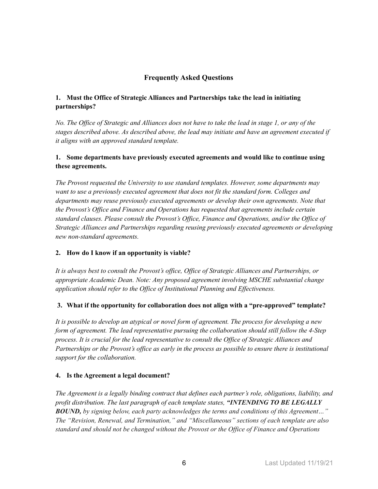# **Frequently Asked Questions**

# **1. Must the Office of Strategic Alliances and Partnerships take the lead in initiating partnerships?**

No. The Office of Strategic and Alliances does not have to take the lead in stage 1, or any of the *stages described above. As described above, the lead may initiate and have an agreement executed if it aligns with an approved standard template.*

## **1. Some departments have previously executed agreements and would like to continue using these agreements.**

*The Provost requested the University to use standard templates. However, some departments may want to use a previously executed agreement that does not fit the standard form. Colleges and departments may reuse previously executed agreements or develop their own agreements. Note that the Provost's Of ice and Finance and Operations has requested that agreements include certain standard clauses. Please consult the Provost's Of ice, Finance and Operations, and/or the Of ice of Strategic Alliances and Partnerships regarding reusing previously executed agreements or developing new non-standard agreements.*

## **2. How do I know if an opportunity is viable?**

It is always best to consult the Provost's office, Office of Strategic Alliances and Partnerships, or *appropriate Academic Dean. Note: Any proposed agreement involving MSCHE substantial change application should refer to the Of ice of Institutional Planning and Ef ectiveness.*

## **3. What if the opportunity for collaboration does not align with a "pre-approved" template?**

*It is possible to develop an atypical or novel form of agreement. The process for developing a new form of agreement. The lead representative pursuing the collaboration should still follow the 4-Step process. It is crucial for the lead representative to consult the Of ice of Strategic Alliances and* Partnerships or the Provost's office as early in the process as possible to ensure there is institutional *support for the collaboration.*

## **4. Is the Agreement a legal document?**

*The Agreement is a legally binding contract that defines each partner's role, obligations, liability, and profit distribution. The last paragraph of each template states, "INTENDING TO BE LEGALLY BOUND, by signing below, each party acknowledges the terms and conditions of this Agreement…" The "Revision, Renewal, and Termination," and "Miscellaneous" sections of each template are also standard and should not be changed without the Provost or the Of ice of Finance and Operations*